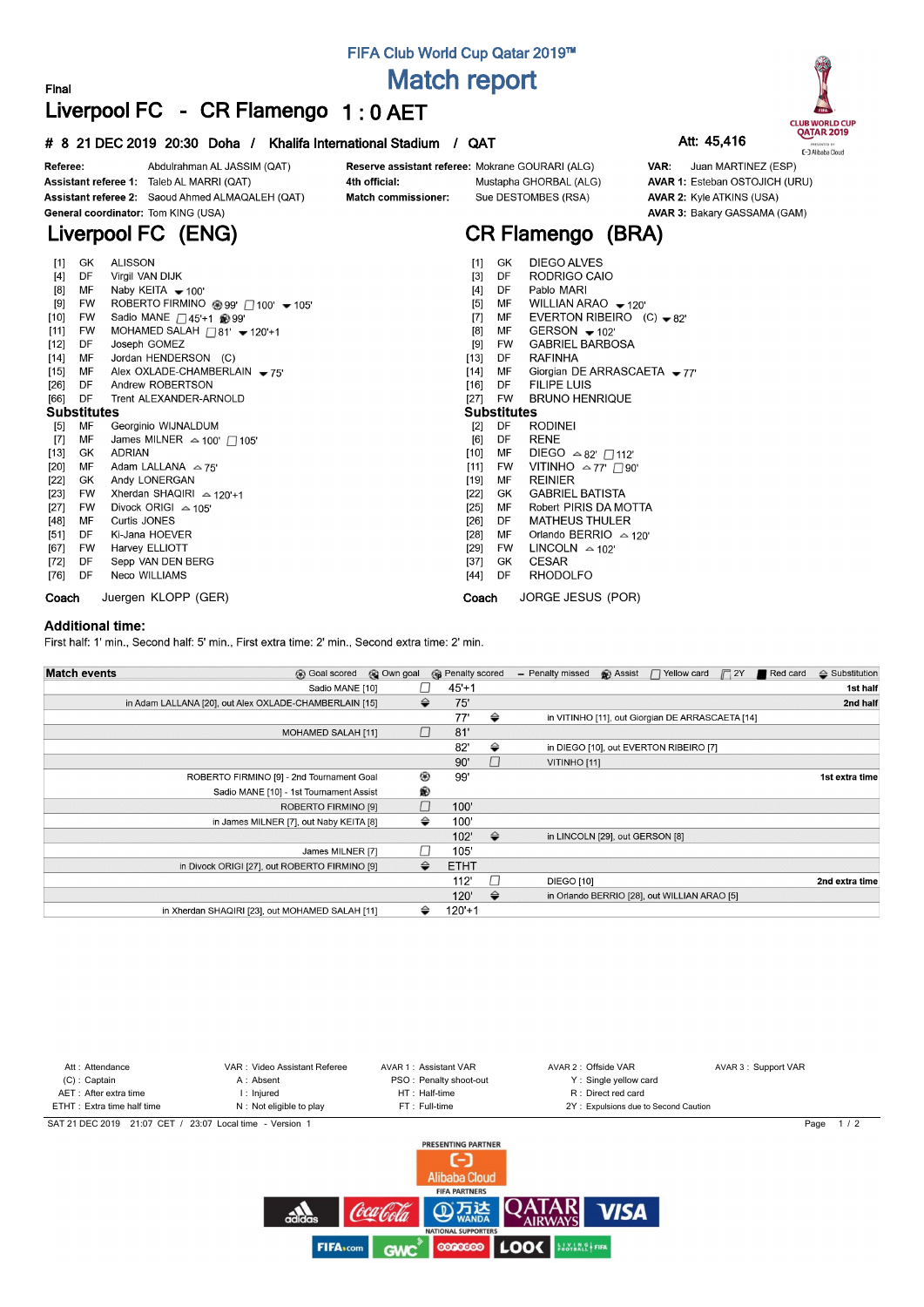# **FIFA Club World Cup Qatar 2019™ Match report**

## **Final Liverpool FC - CR Flamengo 1 : 0 AET**

### **# 8 21 DEC 2019 20:30 Doha / Khalifa International Stadium / QAT Att: 45,416**



**CR Flamengo (BRA)**

Sue DESTOMBES (RSA)



Juan MARTINEZ (ESP) AVAR 1: Esteban OSTOJICH (URU) **AVAR 2: Kyle ATKINS (USA)** AVAR 3: Bakary GASSAMA (GAM)

Abdulrahman AL JASSIM (QAT) Referee: Assistant referee 1: Taleb AL MARRI (QAT) Assistant referee 2: Saoud Ahmed ALMAQALEH (QAT) General coordinator: Tom KING (USA)

# **Liverpool FC (ENG)**

| $[1]$              | GK        | <b>ALISSON</b>                                        | $[1]$  | GK                 | DIEGO ALVES                       |  |  |  |  |  |  |
|--------------------|-----------|-------------------------------------------------------|--------|--------------------|-----------------------------------|--|--|--|--|--|--|
| $[4]$              | DF.       | Virgil VAN DIJK                                       | $[3]$  | DF                 | RODRIGO CAIO                      |  |  |  |  |  |  |
| [8]                | MF        | Naby KEITA $-100'$                                    | $[4]$  | DF                 | Pablo MARI                        |  |  |  |  |  |  |
| [9]                | <b>FW</b> | ROBERTO FIRMINO <sup>399</sup> (2100' - 105'          | $[5]$  | МF                 | WILLIAN ARAO $-120'$              |  |  |  |  |  |  |
| $[10]$             | FW        | Sadio MANE $\Box$ 45'+1 @ 99'                         | $[7]$  | MF                 | EVERTON RIBEIRO $(C) - 82$        |  |  |  |  |  |  |
| $[11]$             | FW        | MOHAMED SALAH $\Box$ 81' $\blacktriangleright$ 120'+1 | [8]    | MF                 | GERSON $-102$                     |  |  |  |  |  |  |
| $[12]$             | DF        | Joseph GOMEZ                                          | $[9]$  | FW                 | <b>GABRIEL BARBOSA</b>            |  |  |  |  |  |  |
| $[14]$             | MF        | Jordan HENDERSON (C)                                  | [13]   | DF                 | <b>RAFINHA</b>                    |  |  |  |  |  |  |
| $[15]$             | MF        | Alex OXLADE-CHAMBERLAIN $\rightarrow$ 75'             | $[14]$ | MF                 | Giorgian DE ARRASCAETA $-77'$     |  |  |  |  |  |  |
| [26]               | DF        | Andrew ROBERTSON                                      | [16]   | DF                 | <b>FILIPE LUIS</b>                |  |  |  |  |  |  |
| [66]               | DF        | Trent ALEXANDER-ARNOLD                                | $[27]$ | FW                 | <b>BRUNO HENRIQUE</b>             |  |  |  |  |  |  |
| <b>Substitutes</b> |           |                                                       |        | <b>Substitutes</b> |                                   |  |  |  |  |  |  |
| $[5]$              | МF        | Georginio WIJNALDUM                                   | $[2]$  | DF                 | <b>RODINEI</b>                    |  |  |  |  |  |  |
| $[7]$              | МF        | James MILNER $\approx$ 100' $\Box$ 105'               | [6]    | DF                 | <b>RENE</b>                       |  |  |  |  |  |  |
| $[13]$             | GK        | ADRIAN                                                | [10]   | MF                 | DIEGO $\triangle$ 82' $\Box$ 112' |  |  |  |  |  |  |
| [20]               | MF        | Adam LALLANA $\approx$ 75'                            |        | $[11]$<br>FW       | VITINHO $\approx$ 77' $\Box$ 90'  |  |  |  |  |  |  |
| [22]               | GK        | Andy LONERGAN                                         | [19]   | МF                 | <b>REINIER</b>                    |  |  |  |  |  |  |
| [23]               | <b>FW</b> | Xherdan SHAQIRI $\approx$ 120'+1                      | [22]   | GK.                | <b>GABRIEL BATISTA</b>            |  |  |  |  |  |  |
| [27]               | FW        | Divock ORIGI $\approx$ 105'                           | $[25]$ | MF                 | Robert PIRIS DA MOTTA             |  |  |  |  |  |  |
| [48]               | МF        | Curtis JONES                                          | [26]   | DF                 | <b>MATHEUS THULER</b>             |  |  |  |  |  |  |
| $[51]$             | DF.       | Ki-Jana HOEVER                                        | [28]   | МF                 | Orlando BERRIO $\approx$ 120'     |  |  |  |  |  |  |
| [67]               | FW        | Harvey ELLIOTT                                        | [29]   | FW.                | LINCOLN $\approx$ 102'            |  |  |  |  |  |  |
| [72]               | DF.       | Sepp VAN DEN BERG                                     | [37]   | GK.                | <b>CESAR</b>                      |  |  |  |  |  |  |
| [76] DF            |           | <b>Neco WILLIAMS</b>                                  | [44]   | DF                 | <b>RHODOLFO</b>                   |  |  |  |  |  |  |
| Coach              |           | Juergen KLOPP (GER)                                   | Coach  |                    | JORGE JESUS (POR)                 |  |  |  |  |  |  |

4th official:

Match commissioner:

#### **Additional time:**

First half: 1' min., Second half: 5' min., First extra time: 2' min., Second extra time: 2' min.

| <b>Match events</b><br><b>B</b> Goal scored            | © Own goal |               | <b>B</b> Penalty scored |               | - Penalty missed                | Assist | $\Box$ Yellow card                               | $\Box$ 2Y | Red card | $\triangle$ Substitution |
|--------------------------------------------------------|------------|---------------|-------------------------|---------------|---------------------------------|--------|--------------------------------------------------|-----------|----------|--------------------------|
| Sadio MANE [10]                                        |            |               | $45+1$                  |               |                                 |        |                                                  |           |          | 1st half                 |
| in Adam LALLANA [20], out Alex OXLADE-CHAMBERLAIN [15] |            | $\Rightarrow$ | 75'                     |               |                                 |        |                                                  |           |          | 2nd half                 |
|                                                        |            |               | 77'                     | ⇔             |                                 |        | in VITINHO [11], out Giorgian DE ARRASCAETA [14] |           |          |                          |
| MOHAMED SALAH [11]                                     |            | $\Box$        | 81'                     |               |                                 |        |                                                  |           |          |                          |
|                                                        |            |               | 82'                     | ⇔             |                                 |        | in DIEGO [10], out EVERTON RIBEIRO [7]           |           |          |                          |
|                                                        |            |               | 90'                     | П             | VITINHO <sub>[11]</sub>         |        |                                                  |           |          |                          |
| ROBERTO FIRMINO [9] - 2nd Tournament Goal              |            | ⊛             | 99'                     |               |                                 |        |                                                  |           |          | 1st extra time           |
| Sadio MANE [10] - 1st Tournament Assist                |            | ®             |                         |               |                                 |        |                                                  |           |          |                          |
| ROBERTO FIRMINO [9]                                    |            | $\Box$        | 100'                    |               |                                 |        |                                                  |           |          |                          |
| in James MILNER [7], out Naby KEITA [8]                |            | ⇔             | 100'                    |               |                                 |        |                                                  |           |          |                          |
|                                                        |            |               | 102'                    | $\Rightarrow$ | in LINCOLN [29], out GERSON [8] |        |                                                  |           |          |                          |
| James MILNER [7]                                       |            | П             | 105'                    |               |                                 |        |                                                  |           |          |                          |
| in Divock ORIGI [27], out ROBERTO FIRMINO [9]          |            | ⇔             | <b>ETHT</b>             |               |                                 |        |                                                  |           |          |                          |
|                                                        |            |               | 112'                    |               | <b>DIEGO [10]</b>               |        |                                                  |           |          | 2nd extra time           |
|                                                        |            |               | 120'                    | $\Rightarrow$ |                                 |        | in Orlando BERRIO [28], out WILLIAN ARAO [5]     |           |          |                          |
| in Xherdan SHAQIRI [23], out MOHAMED SALAH [11]        |            | ⇔             | $120'+1$                |               |                                 |        |                                                  |           |          |                          |